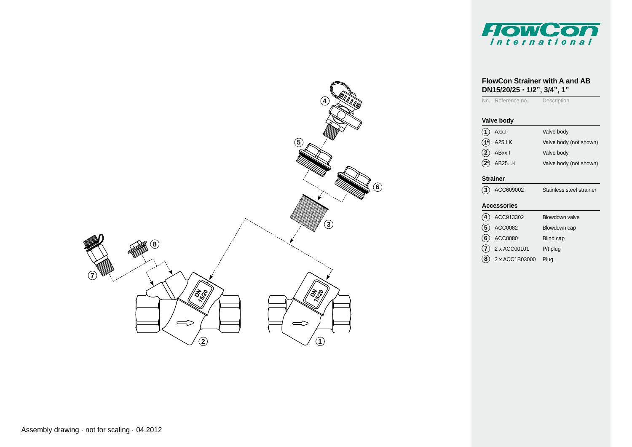

# **4 56 3 8 7** ′∕⊼ୁ ∕∕\$ू  $\Rightarrow$  $\Rightarrow$ **2 1**

### **FlowCon Strainer with A and AB DN15/20/25 · 1/2", 3/4", 1"**

No. Reference no. Description

#### **Valve body**

| $\widehat{1}$ Axx.I      | Valve body             |
|--------------------------|------------------------|
| $\widehat{1^*}$ A25.I.K  | Valve body (not shown) |
| $\widehat{2}$ ABxx.I     | Valve body             |
| $\overline{2})$ AB25.I.K | Valve body (not shown) |

### **Strainer**

**3** ACC609002 Stainless steel strainer

### **Accessories**

| $\left( \widehat{\boldsymbol{A}}\right)$ | ACC913302                  | Blowdown valve   |
|------------------------------------------|----------------------------|------------------|
|                                          | $\overline{5}$ ACC0082     | Blowdown cap     |
|                                          | $\circled{6}$ ACC0080      | <b>Blind cap</b> |
|                                          | $\widehat{7}$ 2 x ACC00101 | $P/t$ plug       |
|                                          |                            |                  |

**8** 2 x ACC1B03000 Plug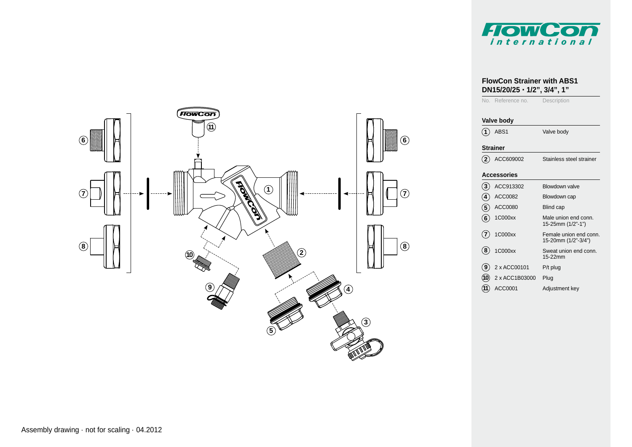

# **FrowCon 116 6 11 Apr 10**  $\parallel$ **7 7 8 8 10 2 9 4 11 11 11 11 3 5**

### **FlowCon Strainer with ABS1 DN15/20/25 · 1/2", 3/4", 1"** No. Reference no. Description **Valve body**

|                    | ABS1           | Valve body                                    |  |  |
|--------------------|----------------|-----------------------------------------------|--|--|
| <b>Strainer</b>    |                |                                               |  |  |
| $\mathbf{2}$       | ACC609002      | Stainless steel strainer                      |  |  |
| <b>Accessories</b> |                |                                               |  |  |
| (3)                | ACC913302      | Blowdown valve                                |  |  |
| $\overline{4}$     | ACC0082        | Blowdown cap                                  |  |  |
| (5                 | ACC0080        | <b>Blind cap</b>                              |  |  |
| 6)                 | 1C000xx        | Male union end conn.<br>15-25mm (1/2"-1")     |  |  |
| (7)                | 1C000xx        | Female union end conn.<br>15-20mm (1/2"-3/4") |  |  |
| 8)                 | 1C000xx        | Sweat union end conn.<br>15-22mm              |  |  |
| (9                 | 2 x ACC00101   | $P/t$ plug                                    |  |  |
| (10                | 2 x ACC1B03000 | Plug                                          |  |  |
| (11                | ACC0001        | Adjustment key                                |  |  |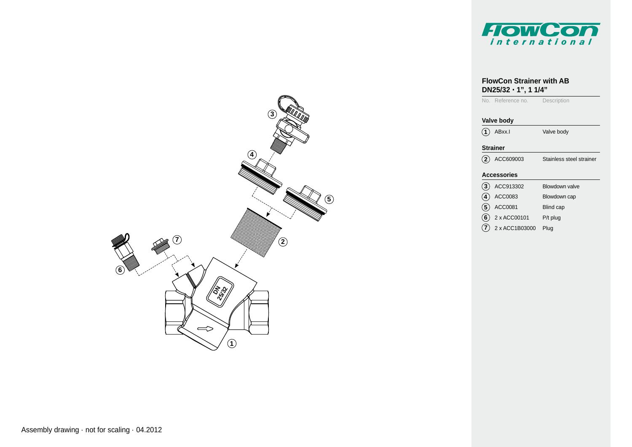

### **FlowCon Strainer with AB DN25/32 · 1", 1 1/4"**

No. Reference no. Description

### **Valve body**

**1** ABxx.I Valve body

### **Strainer**

**2** ACC609003 Stainless steel strainer

### **Accessories**

- **5** ACC0081 **6** 2 x ACC00101 **3**) ACC913302 ACC0083 Blowdown valve Blowdown cap Blind cap P/t plug **4**
- **7** 2 x ACC1B03000 Plug